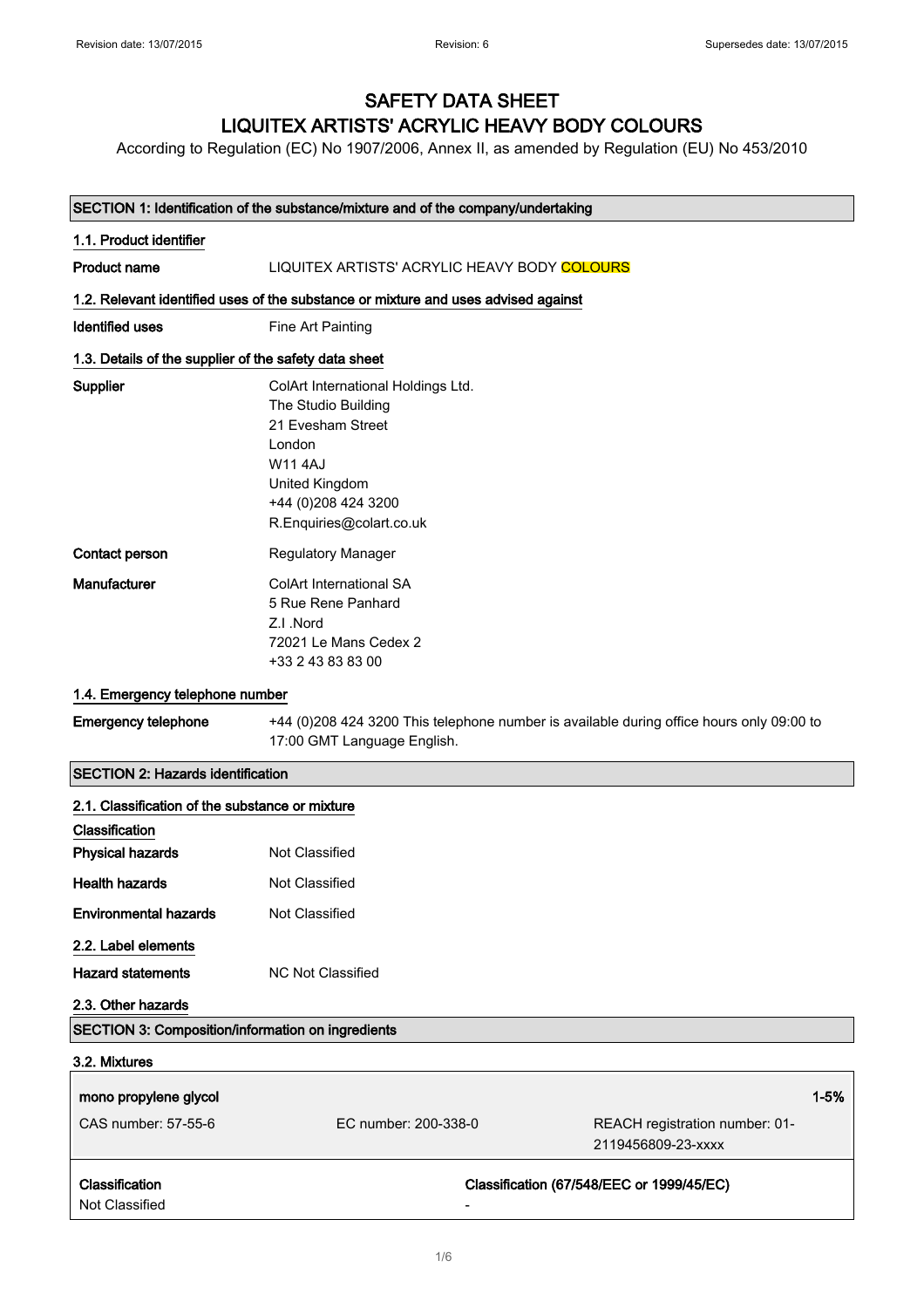## SAFETY DATA SHEET LIQUITEX ARTISTS' ACRYLIC HEAVY BODY COLOURS

According to Regulation (EC) No 1907/2006, Annex II, as amended by Regulation (EU) No 453/2010

|                                                                       | SECTION 1: Identification of the substance/mixture and of the company/undertaking                                                                                                |
|-----------------------------------------------------------------------|----------------------------------------------------------------------------------------------------------------------------------------------------------------------------------|
| 1.1. Product identifier                                               |                                                                                                                                                                                  |
| <b>Product name</b>                                                   | LIQUITEX ARTISTS' ACRYLIC HEAVY BODY COLOURS                                                                                                                                     |
|                                                                       | 1.2. Relevant identified uses of the substance or mixture and uses advised against                                                                                               |
| <b>Identified uses</b>                                                | Fine Art Painting                                                                                                                                                                |
| 1.3. Details of the supplier of the safety data sheet                 |                                                                                                                                                                                  |
| Supplier                                                              | ColArt International Holdings Ltd.<br>The Studio Building<br>21 Evesham Street<br>London<br><b>W11 4AJ</b><br>United Kingdom<br>+44 (0) 208 424 3200<br>R.Enquiries@colart.co.uk |
| Contact person                                                        | <b>Regulatory Manager</b>                                                                                                                                                        |
| Manufacturer                                                          | <b>ColArt International SA</b><br>5 Rue Rene Panhard<br>Z.I.Nord<br>72021 Le Mans Cedex 2<br>+33 2 43 83 83 00                                                                   |
| 1.4. Emergency telephone number                                       |                                                                                                                                                                                  |
| <b>Emergency telephone</b>                                            | +44 (0)208 424 3200 This telephone number is available during office hours only 09:00 to<br>17:00 GMT Language English.                                                          |
| <b>SECTION 2: Hazards identification</b>                              |                                                                                                                                                                                  |
| 2.1. Classification of the substance or mixture                       |                                                                                                                                                                                  |
| Classification<br><b>Physical hazards</b>                             | Not Classified                                                                                                                                                                   |
| <b>Health hazards</b>                                                 | Not Classified                                                                                                                                                                   |
| <b>Environmental hazards</b>                                          | Not Classified                                                                                                                                                                   |
| 2.2. Label elements<br><b>Hazard statements</b><br>2.3. Other hazards | <b>NC Not Classified</b>                                                                                                                                                         |
| SECTION 3: Composition/information on ingredients                     |                                                                                                                                                                                  |
| 3.2. Mixtures                                                         |                                                                                                                                                                                  |

| mono propylene glycol<br>CAS number: 57-55-6 | EC number: 200-338-0 | REACH registration number: 01-<br>2119456809-23-xxxx | $1 - 5%$ |
|----------------------------------------------|----------------------|------------------------------------------------------|----------|
| <b>Classification</b><br>Not Classified      | -                    | Classification (67/548/EEC or 1999/45/EC)            |          |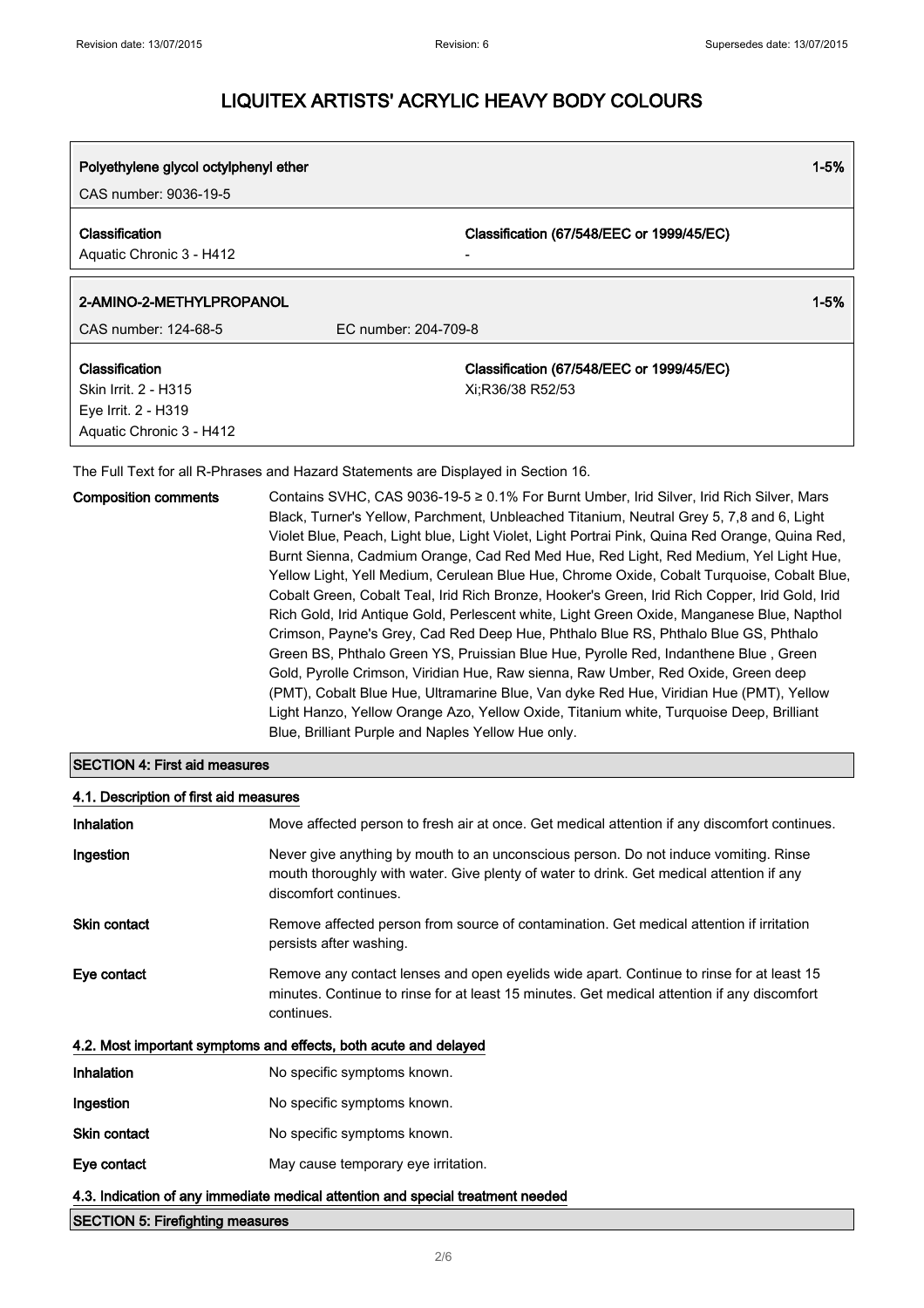| Polyethylene glycol octylphenyl ether<br>CAS number: 9036-19-5                            |                                                               | $1 - 5%$ |
|-------------------------------------------------------------------------------------------|---------------------------------------------------------------|----------|
|                                                                                           |                                                               |          |
| Classification<br>Aquatic Chronic 3 - H412                                                | Classification (67/548/EEC or 1999/45/EC)                     |          |
| 2-AMINO-2-METHYLPROPANOL                                                                  |                                                               | $1 - 5%$ |
| CAS number: 124-68-5                                                                      | EC number: 204-709-8                                          |          |
| Classification<br>Skin Irrit. 2 - H315<br>Eye Irrit. 2 - H319<br>Aquatic Chronic 3 - H412 | Classification (67/548/EEC or 1999/45/EC)<br>Xi;R36/38 R52/53 |          |

The Full Text for all R-Phrases and Hazard Statements are Displayed in Section 16.

| Black, Turner's Yellow, Parchment, Unbleached Titanium, Neutral Grey 5, 7,8 and 6, Light<br>Violet Blue, Peach, Light blue, Light Violet, Light Portrai Pink, Quina Red Orange, Quina Red,<br>Burnt Sienna, Cadmium Orange, Cad Red Med Hue, Red Light, Red Medium, Yel Light Hue,<br>Cobalt Green, Cobalt Teal, Irid Rich Bronze, Hooker's Green, Irid Rich Copper, Irid Gold, Irid<br>Rich Gold, Irid Antique Gold, Perlescent white, Light Green Oxide, Manganese Blue, Napthol<br>Crimson, Payne's Grey, Cad Red Deep Hue, Phthalo Blue RS, Phthalo Blue GS, Phthalo<br>Green BS, Phthalo Green YS, Pruissian Blue Hue, Pyrolle Red, Indanthene Blue, Green<br>Gold, Pyrolle Crimson, Viridian Hue, Raw sienna, Raw Umber, Red Oxide, Green deep<br>(PMT), Cobalt Blue Hue, Ultramarine Blue, Van dyke Red Hue, Viridian Hue (PMT), Yellow<br>Light Hanzo, Yellow Orange Azo, Yellow Oxide, Titanium white, Turguoise Deep, Brilliant | <b>Composition comments</b> | Contains SVHC, CAS 9036-19-5 ≥ 0.1% For Burnt Umber, Irid Silver, Irid Rich Silver, Mars   |
|-------------------------------------------------------------------------------------------------------------------------------------------------------------------------------------------------------------------------------------------------------------------------------------------------------------------------------------------------------------------------------------------------------------------------------------------------------------------------------------------------------------------------------------------------------------------------------------------------------------------------------------------------------------------------------------------------------------------------------------------------------------------------------------------------------------------------------------------------------------------------------------------------------------------------------------------|-----------------------------|--------------------------------------------------------------------------------------------|
|                                                                                                                                                                                                                                                                                                                                                                                                                                                                                                                                                                                                                                                                                                                                                                                                                                                                                                                                           |                             |                                                                                            |
|                                                                                                                                                                                                                                                                                                                                                                                                                                                                                                                                                                                                                                                                                                                                                                                                                                                                                                                                           |                             |                                                                                            |
|                                                                                                                                                                                                                                                                                                                                                                                                                                                                                                                                                                                                                                                                                                                                                                                                                                                                                                                                           |                             |                                                                                            |
|                                                                                                                                                                                                                                                                                                                                                                                                                                                                                                                                                                                                                                                                                                                                                                                                                                                                                                                                           |                             | Yellow Light, Yell Medium, Cerulean Blue Hue, Chrome Oxide, Cobalt Turguoise, Cobalt Blue, |
|                                                                                                                                                                                                                                                                                                                                                                                                                                                                                                                                                                                                                                                                                                                                                                                                                                                                                                                                           |                             |                                                                                            |
|                                                                                                                                                                                                                                                                                                                                                                                                                                                                                                                                                                                                                                                                                                                                                                                                                                                                                                                                           |                             |                                                                                            |
|                                                                                                                                                                                                                                                                                                                                                                                                                                                                                                                                                                                                                                                                                                                                                                                                                                                                                                                                           |                             |                                                                                            |
|                                                                                                                                                                                                                                                                                                                                                                                                                                                                                                                                                                                                                                                                                                                                                                                                                                                                                                                                           |                             |                                                                                            |
|                                                                                                                                                                                                                                                                                                                                                                                                                                                                                                                                                                                                                                                                                                                                                                                                                                                                                                                                           |                             |                                                                                            |
|                                                                                                                                                                                                                                                                                                                                                                                                                                                                                                                                                                                                                                                                                                                                                                                                                                                                                                                                           |                             |                                                                                            |
|                                                                                                                                                                                                                                                                                                                                                                                                                                                                                                                                                                                                                                                                                                                                                                                                                                                                                                                                           |                             |                                                                                            |
| Blue, Brilliant Purple and Naples Yellow Hue only.                                                                                                                                                                                                                                                                                                                                                                                                                                                                                                                                                                                                                                                                                                                                                                                                                                                                                        |                             |                                                                                            |

### SECTION 4: First aid measures

#### 4.1. Description of first aid measures

| <b>Inhalation</b>   | Move affected person to fresh air at once. Get medical attention if any discomfort continues.                                                                                                             |
|---------------------|-----------------------------------------------------------------------------------------------------------------------------------------------------------------------------------------------------------|
| Ingestion           | Never give anything by mouth to an unconscious person. Do not induce vomiting. Rinse<br>mouth thoroughly with water. Give plenty of water to drink. Get medical attention if any<br>discomfort continues. |
| <b>Skin contact</b> | Remove affected person from source of contamination. Get medical attention if irritation<br>persists after washing.                                                                                       |
| Eye contact         | Remove any contact lenses and open eyelids wide apart. Continue to rinse for at least 15<br>minutes. Continue to rinse for at least 15 minutes. Get medical attention if any discomfort<br>continues.     |
|                     | 4.2. Most important symptoms and effects, both acute and delayed                                                                                                                                          |
| <b>Inhalation</b>   | No specific symptoms known.                                                                                                                                                                               |
| Ingestion           | No specific symptoms known.                                                                                                                                                                               |
| Skin contact        | No specific symptoms known.                                                                                                                                                                               |
| Eye contact         | May cause temporary eye irritation.                                                                                                                                                                       |
|                     | 4.3. Indication of any immediate medical attention and special treatment needed                                                                                                                           |

### SECTION 5: Firefighting measures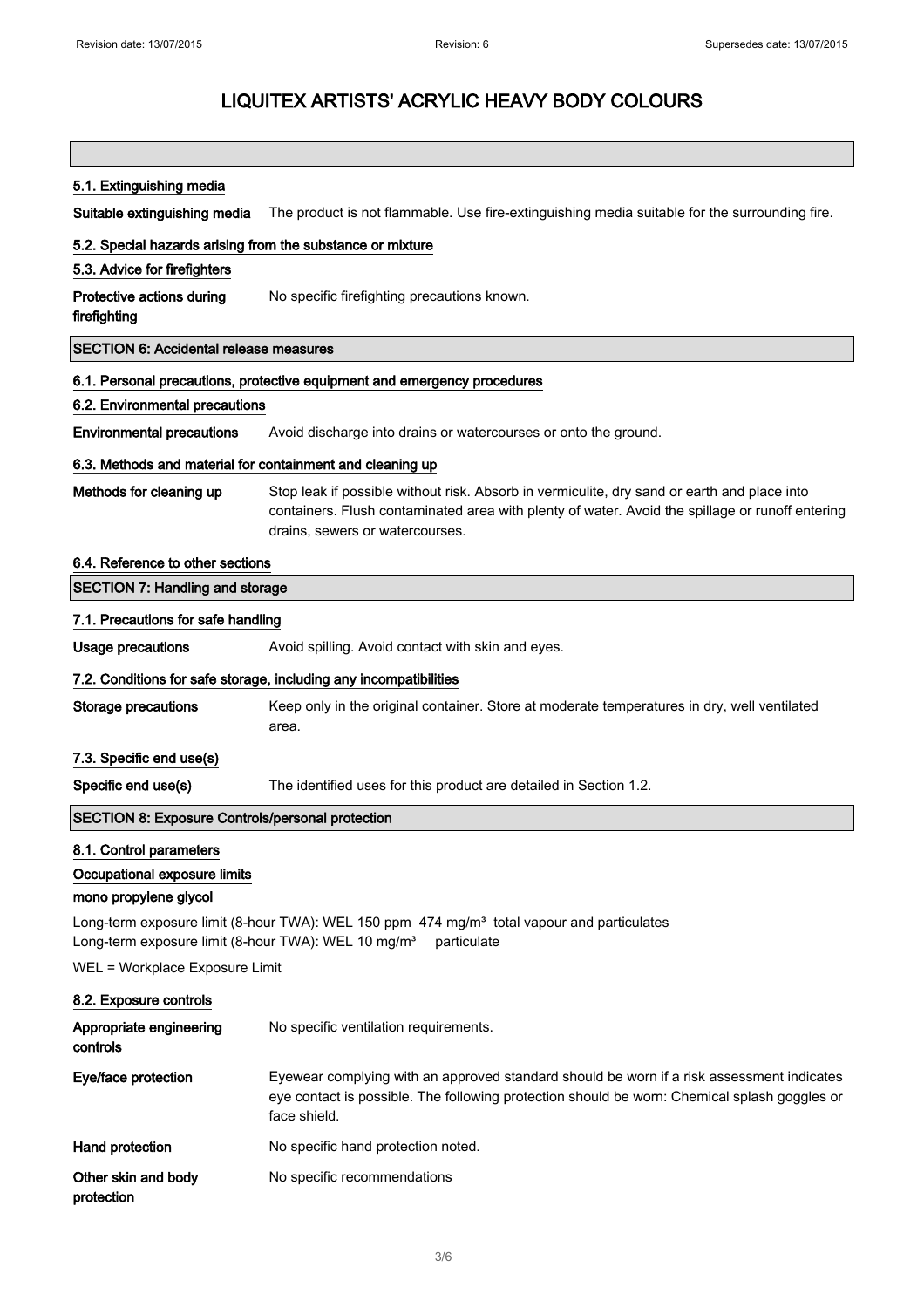#### 5.1. Extinguishing media

Suitable extinguishing media The product is not flammable. Use fire-extinguishing media suitable for the surrounding fire.

#### 5.2. Special hazards arising from the substance or mixture

#### 5.3. Advice for firefighters

Protective actions during firefighting No specific firefighting precautions known.

SECTION 6: Accidental release measures

### 6.1. Personal precautions, protective equipment and emergency procedures

#### 6.2. Environmental precautions

Environmental precautions Avoid discharge into drains or watercourses or onto the ground.

#### 6.3. Methods and material for containment and cleaning up

Methods for cleaning up Stop leak if possible without risk. Absorb in vermiculite, dry sand or earth and place into containers. Flush contaminated area with plenty of water. Avoid the spillage or runoff entering drains, sewers or watercourses.

#### 6.4. Reference to other sections

| <b>SECTION 7: Handling and storage</b>                                                                                                              |                                                                                                                                                                                                           |
|-----------------------------------------------------------------------------------------------------------------------------------------------------|-----------------------------------------------------------------------------------------------------------------------------------------------------------------------------------------------------------|
| 7.1. Precautions for safe handling                                                                                                                  |                                                                                                                                                                                                           |
| <b>Usage precautions</b>                                                                                                                            | Avoid spilling. Avoid contact with skin and eyes.                                                                                                                                                         |
|                                                                                                                                                     | 7.2. Conditions for safe storage, including any incompatibilities                                                                                                                                         |
| <b>Storage precautions</b>                                                                                                                          | Keep only in the original container. Store at moderate temperatures in dry, well ventilated<br>area.                                                                                                      |
| 7.3. Specific end use(s)                                                                                                                            |                                                                                                                                                                                                           |
| Specific end use(s)                                                                                                                                 | The identified uses for this product are detailed in Section 1.2.                                                                                                                                         |
| <b>SECTION 8: Exposure Controls/personal protection</b>                                                                                             |                                                                                                                                                                                                           |
| 8.1. Control parameters<br>Occupational exposure limits<br>mono propylene glycol<br>Long-term exposure limit (8-hour TWA): WEL 10 mg/m <sup>3</sup> | Long-term exposure limit (8-hour TWA): WEL 150 ppm 474 mg/m <sup>3</sup> total vapour and particulates<br>particulate                                                                                     |
| WEL = Workplace Exposure Limit                                                                                                                      |                                                                                                                                                                                                           |
| 8.2. Exposure controls                                                                                                                              |                                                                                                                                                                                                           |
| Appropriate engineering<br>controls                                                                                                                 | No specific ventilation requirements.                                                                                                                                                                     |
| Eye/face protection                                                                                                                                 | Eyewear complying with an approved standard should be worn if a risk assessment indicates<br>eye contact is possible. The following protection should be worn: Chemical splash goggles or<br>face shield. |
| Hand protection                                                                                                                                     | No specific hand protection noted.                                                                                                                                                                        |
| Other skin and body<br>protection                                                                                                                   | No specific recommendations                                                                                                                                                                               |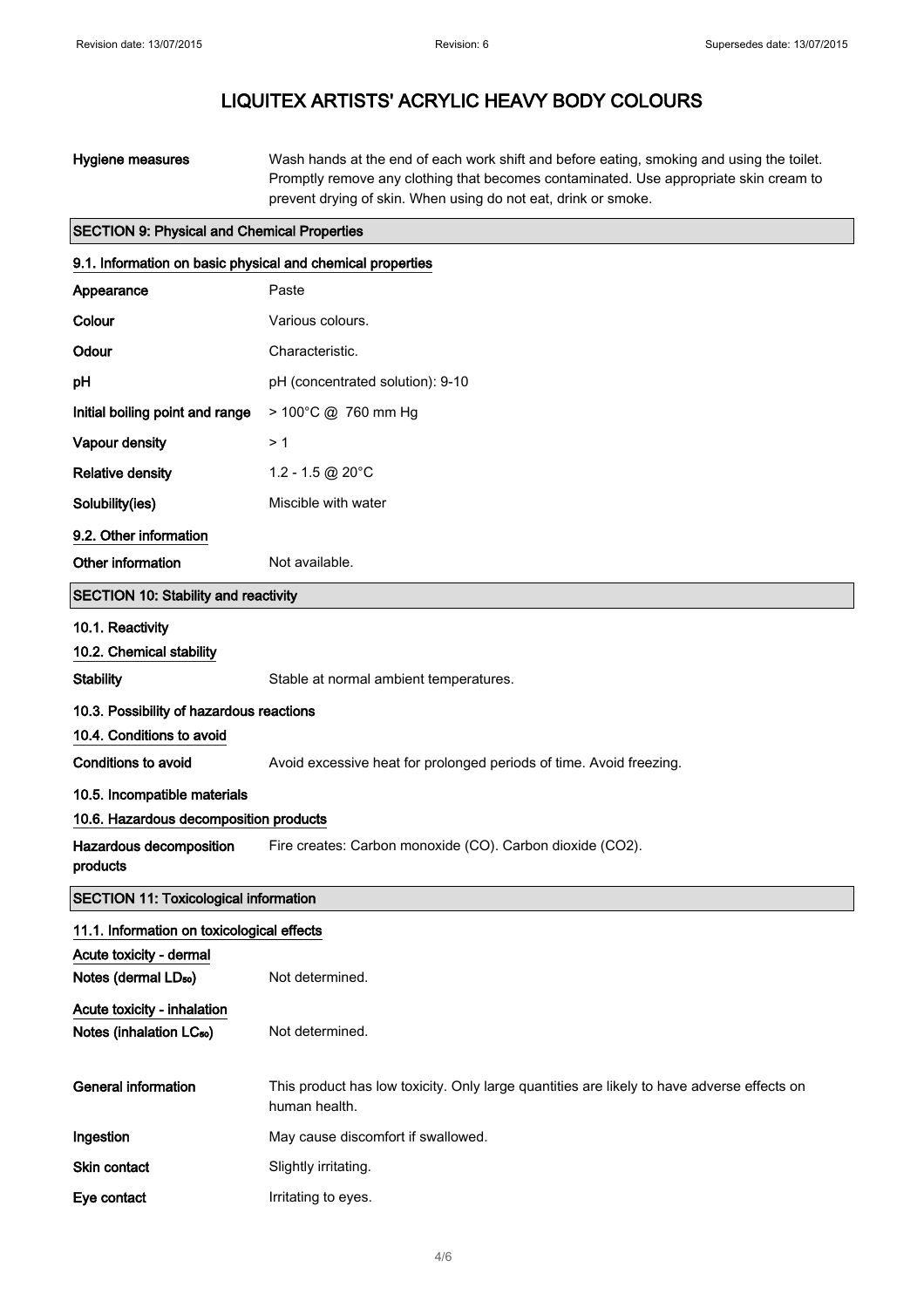| Hygiene measures | Wash hands at the end of each work shift and before eating, smoking and using the toilet. |
|------------------|-------------------------------------------------------------------------------------------|
|                  | Promptly remove any clothing that becomes contaminated. Use appropriate skin cream to     |
|                  | prevent drying of skin. When using do not eat, drink or smoke.                            |

## SECTION 9: Physical and Chemical Properties

| 9.1. Information on basic physical and chemical properties |                                                                                                             |  |
|------------------------------------------------------------|-------------------------------------------------------------------------------------------------------------|--|
| Appearance                                                 | Paste                                                                                                       |  |
| Colour                                                     | Various colours.                                                                                            |  |
| Odour                                                      | Characteristic.                                                                                             |  |
| рH                                                         | pH (concentrated solution): 9-10                                                                            |  |
| Initial boiling point and range                            | > 100°C @ 760 mm Hg                                                                                         |  |
| Vapour density                                             | > 1                                                                                                         |  |
| <b>Relative density</b>                                    | 1.2 - 1.5 @ 20 $^{\circ}$ C                                                                                 |  |
| Solubility(ies)                                            | Miscible with water                                                                                         |  |
| 9.2. Other information                                     |                                                                                                             |  |
| Other information                                          | Not available.                                                                                              |  |
| SECTION 10: Stability and reactivity                       |                                                                                                             |  |
| 10.1. Reactivity                                           |                                                                                                             |  |
| 10.2. Chemical stability                                   |                                                                                                             |  |
| <b>Stability</b>                                           | Stable at normal ambient temperatures.                                                                      |  |
| 10.3. Possibility of hazardous reactions                   |                                                                                                             |  |
| 10.4. Conditions to avoid                                  |                                                                                                             |  |
| Conditions to avoid                                        | Avoid excessive heat for prolonged periods of time. Avoid freezing.                                         |  |
| 10.5. Incompatible materials                               |                                                                                                             |  |
| 10.6. Hazardous decomposition products                     |                                                                                                             |  |
| Hazardous decomposition<br>products                        | Fire creates: Carbon monoxide (CO). Carbon dioxide (CO2).                                                   |  |
| <b>SECTION 11: Toxicological information</b>               |                                                                                                             |  |
| 11.1. Information on toxicological effects                 |                                                                                                             |  |
| Acute toxicity - dermal                                    |                                                                                                             |  |
| Notes (dermal LD <sub>50</sub> )                           | Not determined.                                                                                             |  |
| Acute toxicity - inhalation                                |                                                                                                             |  |
| Notes (inhalation LC <sub>50</sub> )                       | Not determined.                                                                                             |  |
| <b>General information</b>                                 | This product has low toxicity. Only large quantities are likely to have adverse effects on<br>human health. |  |
| Ingestion                                                  | May cause discomfort if swallowed.                                                                          |  |
| Skin contact                                               | Slightly irritating.                                                                                        |  |
| Eye contact                                                | Irritating to eyes.                                                                                         |  |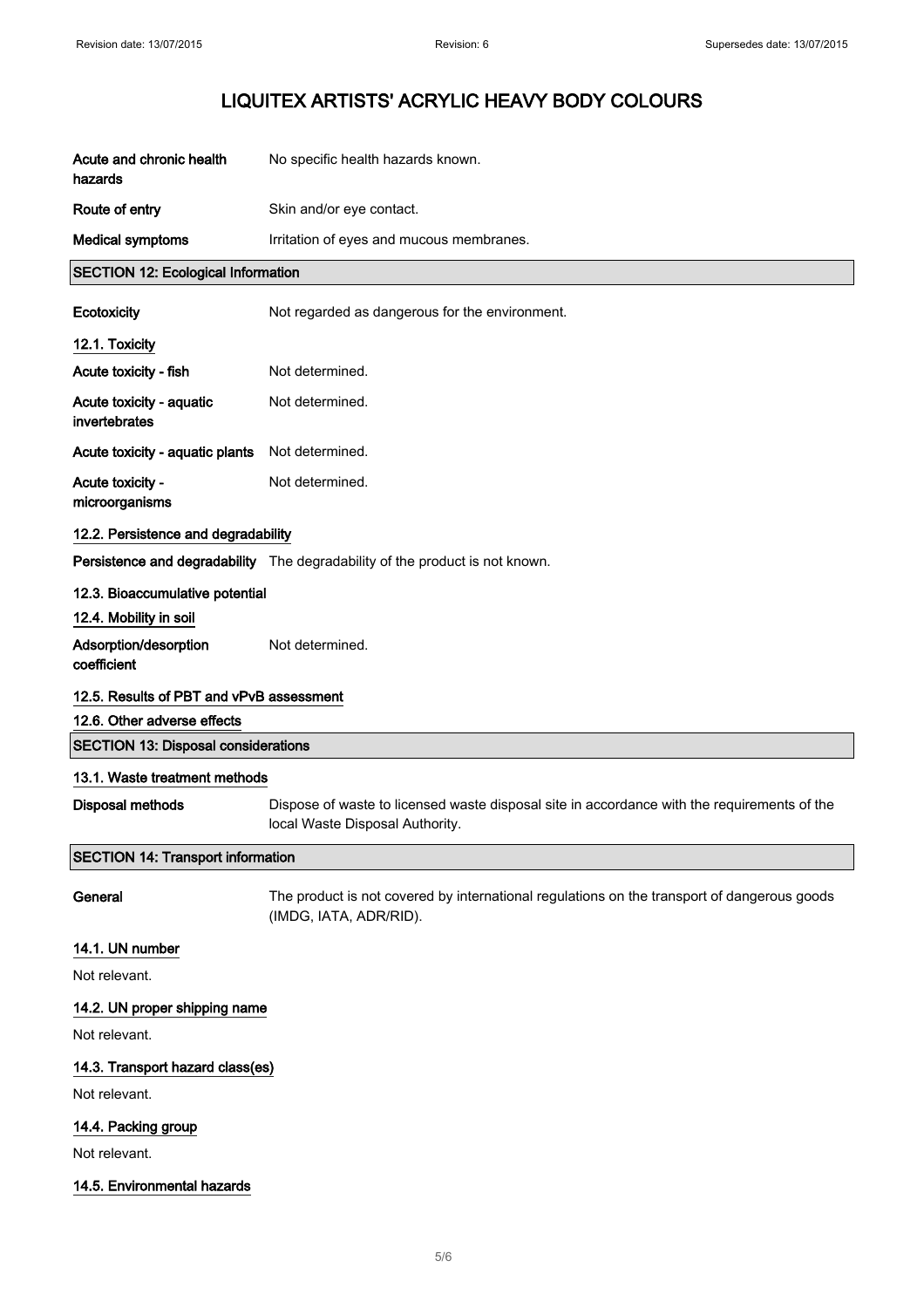| Acute and chronic health<br>hazards                       | No specific health hazards known.                                                                                              |
|-----------------------------------------------------------|--------------------------------------------------------------------------------------------------------------------------------|
| Route of entry                                            | Skin and/or eye contact.                                                                                                       |
| <b>Medical symptoms</b>                                   | Irritation of eyes and mucous membranes.                                                                                       |
| <b>SECTION 12: Ecological Information</b>                 |                                                                                                                                |
| Ecotoxicity                                               | Not regarded as dangerous for the environment.                                                                                 |
| 12.1. Toxicity                                            |                                                                                                                                |
| Acute toxicity - fish                                     | Not determined.                                                                                                                |
| Acute toxicity - aquatic<br>invertebrates                 | Not determined.                                                                                                                |
| Acute toxicity - aquatic plants                           | Not determined.                                                                                                                |
| Acute toxicity -<br>microorganisms                        | Not determined.                                                                                                                |
| 12.2. Persistence and degradability                       |                                                                                                                                |
|                                                           | Persistence and degradability The degradability of the product is not known.                                                   |
| 12.3. Bioaccumulative potential<br>12.4. Mobility in soil |                                                                                                                                |
| Adsorption/desorption<br>coefficient                      | Not determined.                                                                                                                |
| 12.5. Results of PBT and vPvB assessment                  |                                                                                                                                |
|                                                           |                                                                                                                                |
| 12.6. Other adverse effects                               |                                                                                                                                |
| <b>SECTION 13: Disposal considerations</b>                |                                                                                                                                |
| 13.1. Waste treatment methods<br><b>Disposal methods</b>  | Dispose of waste to licensed waste disposal site in accordance with the requirements of the<br>local Waste Disposal Authority. |
| <b>SECTION 14: Transport information</b>                  |                                                                                                                                |
| General                                                   | The product is not covered by international regulations on the transport of dangerous goods<br>(IMDG, IATA, ADR/RID).          |
| 14.1. UN number                                           |                                                                                                                                |
| Not relevant.                                             |                                                                                                                                |
| 14.2. UN proper shipping name                             |                                                                                                                                |
| Not relevant.                                             |                                                                                                                                |
| 14.3. Transport hazard class(es)                          |                                                                                                                                |
| Not relevant.                                             |                                                                                                                                |
| 14.4. Packing group                                       |                                                                                                                                |
| Not relevant.                                             |                                                                                                                                |